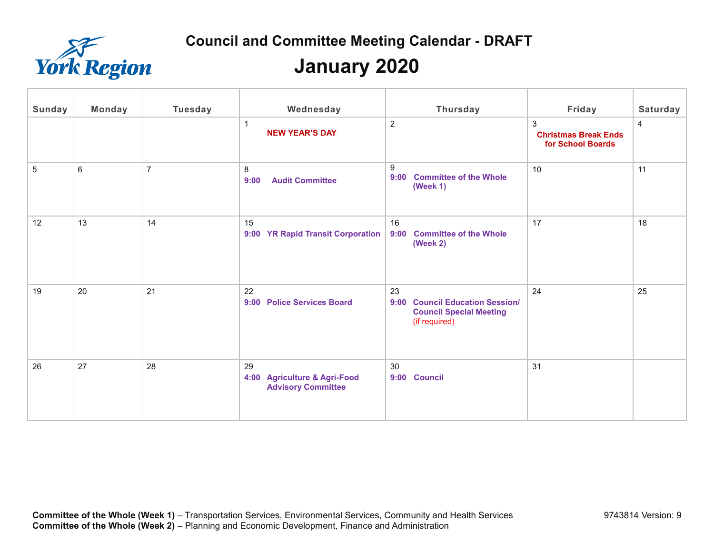

| Sunday | Monday  | <b>Tuesday</b> | Wednesday                                                       | <b>Thursday</b>                                                                          | Friday                                                | Saturday |
|--------|---------|----------------|-----------------------------------------------------------------|------------------------------------------------------------------------------------------|-------------------------------------------------------|----------|
|        |         |                | -1<br><b>NEW YEAR'S DAY</b>                                     | 2                                                                                        | 3<br><b>Christmas Break Ends</b><br>for School Boards | 4        |
| 5      | $\,6\,$ | $\overline{7}$ | 8<br><b>Audit Committee</b><br>9:00                             | 9<br><b>Committee of the Whole</b><br>9:00<br>(Week 1)                                   | 10                                                    | 11       |
| 12     | 13      | 14             | 15<br>9:00 YR Rapid Transit Corporation                         | 16<br><b>Committee of the Whole</b><br>9:00<br><b>(Week 2)</b>                           | 17                                                    | 18       |
| 19     | 20      | 21             | 22<br>9:00<br><b>Police Services Board</b>                      | 23<br>9:00 Council Education Session/<br><b>Council Special Meeting</b><br>(if required) | 24                                                    | 25       |
| 26     | 27      | 28             | 29<br>4:00 Agriculture & Agri-Food<br><b>Advisory Committee</b> | 30<br>9:00 Council                                                                       | 31                                                    |          |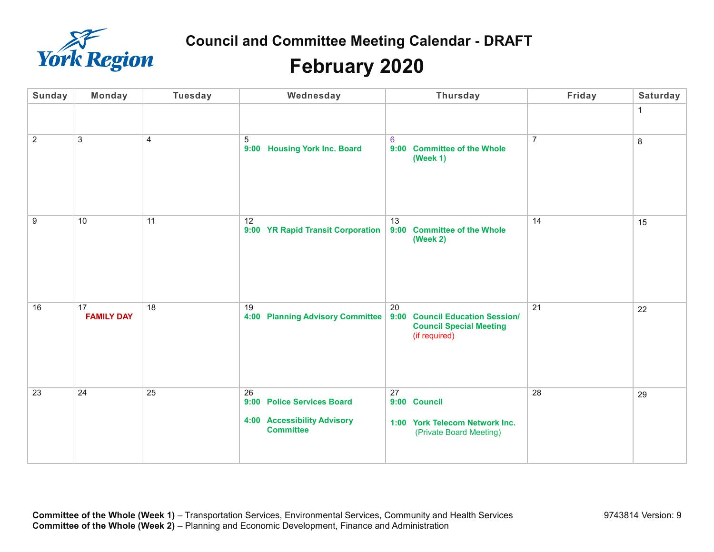

## **February 2020**

| Sunday         | <b>Monday</b>             | <b>Tuesday</b> | Wednesday                                                                                  | <b>Thursday</b>                                                                                    | Friday          | Saturday |
|----------------|---------------------------|----------------|--------------------------------------------------------------------------------------------|----------------------------------------------------------------------------------------------------|-----------------|----------|
|                |                           |                |                                                                                            |                                                                                                    |                 | 1        |
| $\overline{2}$ | $\ensuremath{\mathsf{3}}$ | 4              | 5<br><b>Housing York Inc. Board</b><br>9:00                                                | 6<br><b>Committee of the Whole</b><br>9:00<br>(Week 1)                                             | $\overline{7}$  | $\bf 8$  |
| $9\,$          | 10                        | 11             | 12<br>9:00 YR Rapid Transit Corporation                                                    | 13<br>9:00<br><b>Committee of the Whole</b><br>(Week 2)                                            | 14              | 15       |
| 16             | 17<br><b>FAMILY DAY</b>   | 18             | 19<br><b>4:00 Planning Advisory Committee</b>                                              | 20<br>9:00<br><b>Council Education Session/</b><br><b>Council Special Meeting</b><br>(if required) | $\overline{21}$ | 22       |
| 23             | 24                        | 25             | 26<br>9:00 Police Services Board<br><b>4:00 Accessibility Advisory</b><br><b>Committee</b> | 27<br>9:00 Council<br>1:00 York Telecom Network Inc.<br>(Private Board Meeting)                    | 28              | 29       |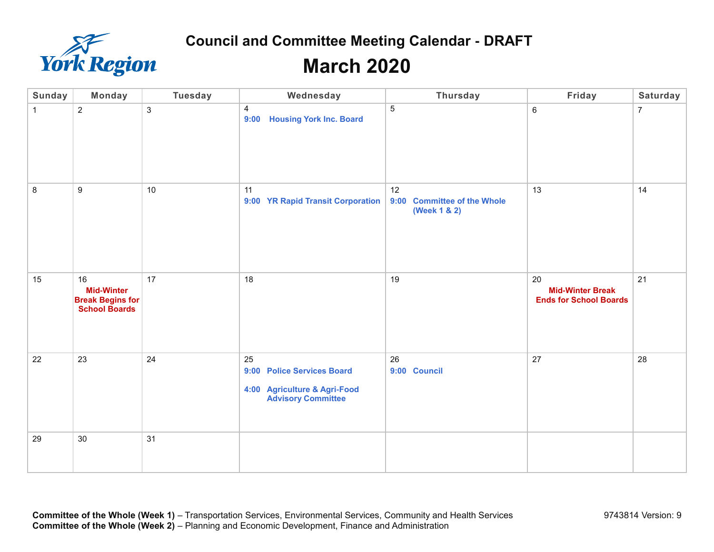

| <b>Sunday</b> | <b>Monday</b>                                                              | <b>Tuesday</b> | Wednesday                                                                                     | <b>Thursday</b>                                             | Friday                                                         | Saturday       |
|---------------|----------------------------------------------------------------------------|----------------|-----------------------------------------------------------------------------------------------|-------------------------------------------------------------|----------------------------------------------------------------|----------------|
| $\mathbf{1}$  | $\overline{c}$                                                             | 3              | $\overline{4}$<br><b>Housing York Inc. Board</b><br>9:00                                      | $\sqrt{5}$                                                  | 6                                                              | $\overline{7}$ |
| 8             | $\boldsymbol{9}$                                                           | 10             | 11<br>9:00 YR Rapid Transit Corporation                                                       | 12<br><b>Committee of the Whole</b><br>9:00<br>(Week 1 & 2) | 13                                                             | 14             |
| 15            | 16<br><b>Mid-Winter</b><br><b>Break Begins for</b><br><b>School Boards</b> | 17             | 18                                                                                            | 19                                                          | 20<br><b>Mid-Winter Break</b><br><b>Ends for School Boards</b> | 21             |
| 22            | 23                                                                         | 24             | 25<br>9:00 Police Services Board<br>4:00 Agriculture & Agri-Food<br><b>Advisory Committee</b> | 26<br>9:00 Council                                          | 27                                                             | 28             |
| 29            | $30\,$                                                                     | 31             |                                                                                               |                                                             |                                                                |                |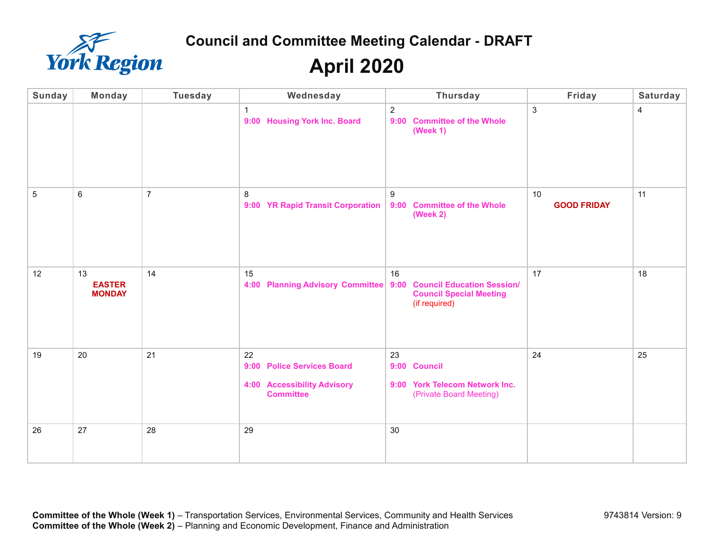

| <b>Sunday</b> | Monday                               | <b>Tuesday</b> | Wednesday                                                                           | <b>Thursday</b>                                                                            | Friday                   | Saturday |
|---------------|--------------------------------------|----------------|-------------------------------------------------------------------------------------|--------------------------------------------------------------------------------------------|--------------------------|----------|
|               |                                      |                | $\overline{1}$<br>9:00 Housing York Inc. Board                                      | $\overline{2}$<br>9:00 Committee of the Whole<br>(Week 1)                                  | $\mathsf 3$              | 4        |
| 5             | $\,6\,$                              | $\overline{7}$ | 8<br>9:00 YR Rapid Transit Corporation                                              | 9<br><b>Committee of the Whole</b><br>9:00<br>(Week 2)                                     | 10<br><b>GOOD FRIDAY</b> | 11       |
| 12            | 13<br><b>EASTER</b><br><b>MONDAY</b> | 14             | 15<br>4:00 Planning Advisory Committee 9:00                                         | 16<br><b>Council Education Session/</b><br><b>Council Special Meeting</b><br>(if required) | 17                       | 18       |
| 19            | 20                                   | 21             | 22<br>9:00 Police Services Board<br>4:00 Accessibility Advisory<br><b>Committee</b> | 23<br>9:00 Council<br>9:00 York Telecom Network Inc.<br>(Private Board Meeting)            | 24                       | 25       |
| 26            | 27                                   | 28             | 29                                                                                  | 30                                                                                         |                          |          |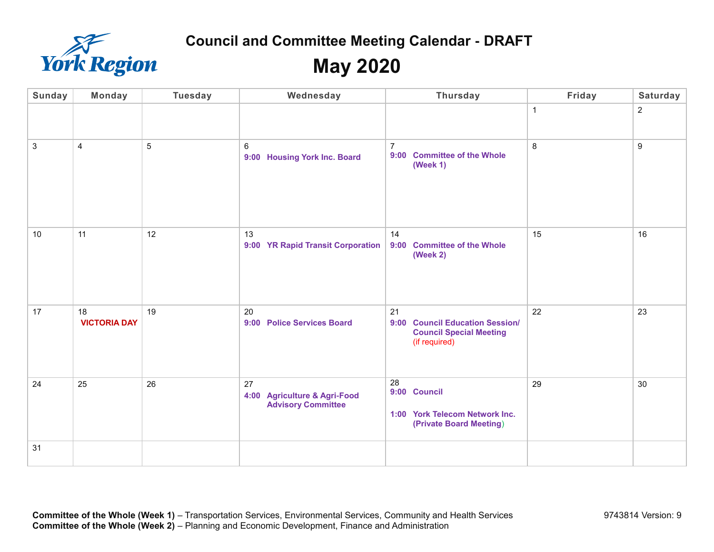

| <b>Sunday</b> | <b>Monday</b>             | <b>Tuesday</b>  | Wednesday                                                       | <b>Thursday</b>                                                                          | Friday       | Saturday         |
|---------------|---------------------------|-----------------|-----------------------------------------------------------------|------------------------------------------------------------------------------------------|--------------|------------------|
|               |                           |                 |                                                                 |                                                                                          | $\mathbf{1}$ | $\overline{2}$   |
| 3             | 4                         | 5               | 6<br>9:00 Housing York Inc. Board                               | $\overline{7}$<br>9:00 Committee of the Whole<br>(Week 1)                                | $\,8\,$      | $\boldsymbol{9}$ |
| 10            | 11                        | 12 <sup>°</sup> | 13<br>9:00 YR Rapid Transit Corporation                         | 14<br>9:00 Committee of the Whole<br>(Week 2)                                            | 15           | 16               |
| 17            | 18<br><b>VICTORIA DAY</b> | 19              | 20<br><b>Police Services Board</b><br>9:00                      | 21<br>9:00 Council Education Session/<br><b>Council Special Meeting</b><br>(if required) | 22           | 23               |
| 24            | 25                        | 26              | 27<br>4:00 Agriculture & Agri-Food<br><b>Advisory Committee</b> | 28<br>9:00 Council<br>1:00 York Telecom Network Inc.<br>(Private Board Meeting)          | 29           | 30               |
| 31            |                           |                 |                                                                 |                                                                                          |              |                  |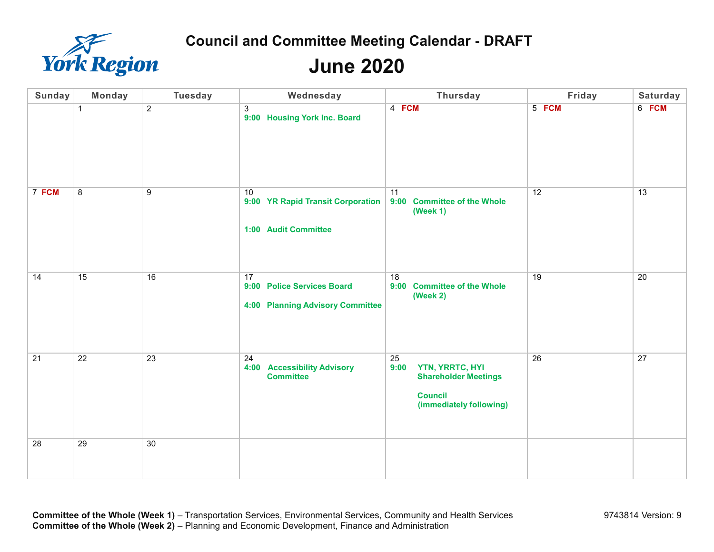

| <b>Sunday</b> | <b>Monday</b>  | <b>Tuesday</b>  | Wednesday                                                                   | <b>Thursday</b>                                                                                           | Friday | <b>Saturday</b> |
|---------------|----------------|-----------------|-----------------------------------------------------------------------------|-----------------------------------------------------------------------------------------------------------|--------|-----------------|
|               | $\mathbf{1}$   | $\overline{2}$  | 3<br>9:00 Housing York Inc. Board                                           | 4 FCM                                                                                                     | 5 FCM  | 6 FCM           |
| 7 FCM         | $\overline{8}$ | 9               | 10<br>9:00 YR Rapid Transit Corporation<br>1:00 Audit Committee             | 11<br>9:00 Committee of the Whole<br>(Week $1$ )                                                          | 12     | 13              |
| 14            | 15             | 16              | 17<br>9:00 Police Services Board<br><b>4:00 Planning Advisory Committee</b> | 18<br>9:00 Committee of the Whole<br>(Week 2)                                                             | 19     | 20              |
| 21            | 22             | 23              | 24<br><b>Accessibility Advisory</b><br>4:00<br><b>Committee</b>             | 25<br>YTN, YRRTC, HYI<br>9:00<br><b>Shareholder Meetings</b><br><b>Council</b><br>(immediately following) | 26     | 27              |
| 28            | 29             | 30 <sup>°</sup> |                                                                             |                                                                                                           |        |                 |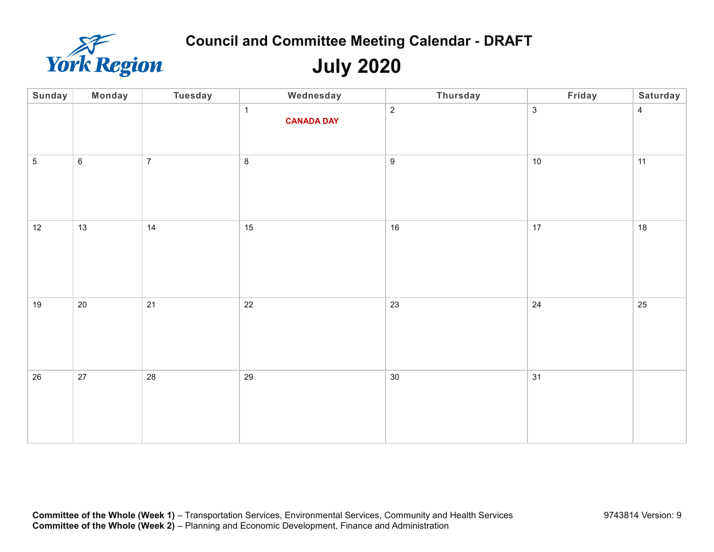

# **July 2020**

| Sunday     | <b>Monday</b> | <b>Tuesday</b> | Wednesday                         | <b>Thursday</b>  | Friday         | Saturday       |
|------------|---------------|----------------|-----------------------------------|------------------|----------------|----------------|
|            |               |                | $\mathbf{1}$<br><b>CANADA DAY</b> | $\overline{2}$   | $\mathfrak{S}$ | $\overline{4}$ |
| $\sqrt{5}$ | $\,6\,$       | $\overline{7}$ | $\bf 8$                           | $\boldsymbol{9}$ | $10\,$         | 11             |
| 12         | 13            | 14             | 15                                | 16               | $17$           | 18             |
| 19         | $20\,$        | 21             | $22\,$                            | 23               | 24             | 25             |
| 26         | $27\,$        | 28             | 29                                | $30\,$           | 31             |                |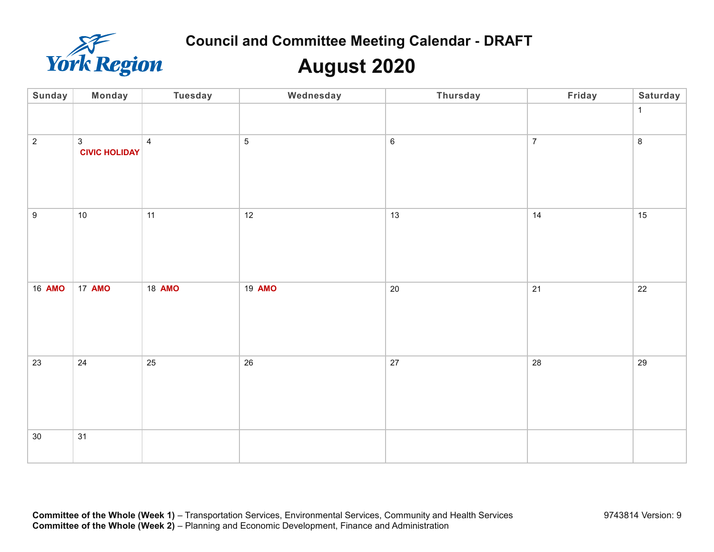

# **August 2020**

| Sunday         | <b>Monday</b>                          | <b>Tuesday</b> | Wednesday      | <b>Thursday</b> | Friday         | <b>Saturday</b> |
|----------------|----------------------------------------|----------------|----------------|-----------------|----------------|-----------------|
|                |                                        |                |                |                 |                | $\mathbf{1}$    |
| $\overline{2}$ | $\mathfrak{S}$<br><b>CIVIC HOLIDAY</b> | $\overline{4}$ | $\overline{5}$ | $\,6\,$         | $\overline{7}$ | $\bf 8$         |
| $9\,$          | $10\,$                                 | 11             | 12             | 13              | 14             | 15              |
| 16 AMO         | 17 AMO                                 | 18 AMO         | 19 AMO         | $20\,$          | 21             | 22              |
| 23             | 24                                     | 25             | 26             | $27\,$          | 28             | 29              |
| $30\,$         | 31                                     |                |                |                 |                |                 |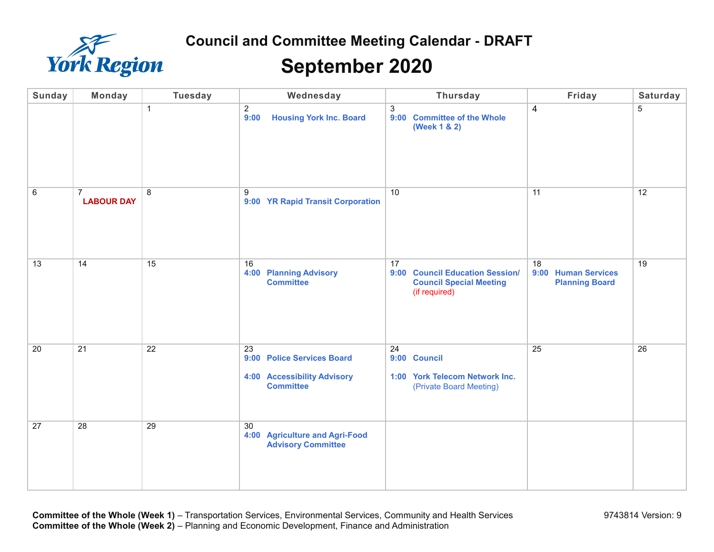

## **September 2020**

| <b>Sunday</b> | <b>Monday</b>                       | <b>Tuesday</b> | Wednesday                                                                                  | <b>Thursday</b>                                                                          | Friday                                             | Saturday       |
|---------------|-------------------------------------|----------------|--------------------------------------------------------------------------------------------|------------------------------------------------------------------------------------------|----------------------------------------------------|----------------|
|               |                                     | $\overline{1}$ | 2<br><b>Housing York Inc. Board</b><br>9:00                                                | 3<br>9:00 Committee of the Whole<br>(Week 1 & 2)                                         | 4                                                  | $\overline{5}$ |
| $\,6\,$       | $\overline{7}$<br><b>LABOUR DAY</b> | 8              | 9<br>9:00 YR Rapid Transit Corporation                                                     | 10                                                                                       | 11                                                 | 12             |
| 13            | 14                                  | 15             | 16<br><b>4:00 Planning Advisory</b><br><b>Committee</b>                                    | 17<br>9:00 Council Education Session/<br><b>Council Special Meeting</b><br>(if required) | 18<br>9:00 Human Services<br><b>Planning Board</b> | 19             |
| 20            | 21                                  | 22             | 23<br>9:00 Police Services Board<br><b>4:00 Accessibility Advisory</b><br><b>Committee</b> | 24<br>9:00 Council<br>1:00 York Telecom Network Inc.<br>(Private Board Meeting)          | 25                                                 | 26             |
| 27            | 28                                  | 29             | 30<br>4:00 Agriculture and Agri-Food<br><b>Advisory Committee</b>                          |                                                                                          |                                                    |                |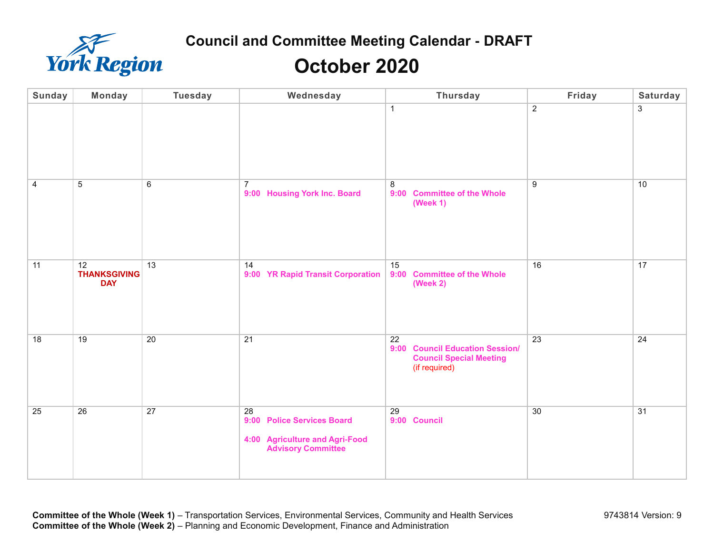

# **October 2020**

| <b>Sunday</b> | <b>Monday</b>                           | <b>Tuesday</b> | Wednesday                                                                                       | <b>Thursday</b>                                                                          | Friday          | Saturday       |
|---------------|-----------------------------------------|----------------|-------------------------------------------------------------------------------------------------|------------------------------------------------------------------------------------------|-----------------|----------------|
|               |                                         |                |                                                                                                 | $\mathbf{1}$                                                                             | $\overline{2}$  | $\mathfrak{Z}$ |
| 4             | $\,$ 5 $\,$                             | 6              | $\overline{7}$<br>9:00 Housing York Inc. Board                                                  | $\,8\,$<br>9:00 Committee of the Whole<br>(Week 1)                                       | 9               | 10             |
| 11            | 12<br><b>THANKSGIVING</b><br><b>DAY</b> | 13             | 14<br>9:00 YR Rapid Transit Corporation                                                         | 15<br>9:00 Committee of the Whole<br>(Week 2)                                            | 16              | 17             |
| 18            | 19                                      | 20             | 21                                                                                              | 22<br>9:00 Council Education Session/<br><b>Council Special Meeting</b><br>(if required) | $\overline{23}$ | 24             |
| 25            | 26                                      | 27             | 28<br>9:00 Police Services Board<br>4:00 Agriculture and Agri-Food<br><b>Advisory Committee</b> | 29<br>9:00 Council                                                                       | 30              | 31             |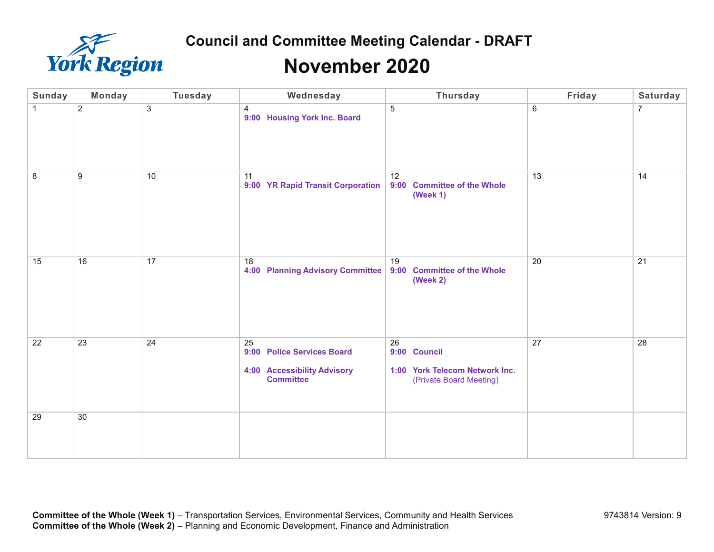

#### **November 2020**

| <b>Sunday</b> | <b>Monday</b>  | <b>Tuesday</b> | Wednesday                                                                                  | Thursday                                                                        | Friday | Saturday |
|---------------|----------------|----------------|--------------------------------------------------------------------------------------------|---------------------------------------------------------------------------------|--------|----------|
| $\mathbf{1}$  | $\overline{2}$ | $\mathbf{3}$   | 4<br>9:00 Housing York Inc. Board                                                          | 5                                                                               | 6      | 7        |
| 8             | 9              | 10             | 11<br>9:00 YR Rapid Transit Corporation                                                    | 12<br>9:00 Committee of the Whole<br>(Week 1)                                   | 13     | 14       |
| 15            | 16             | 17             | 18<br><b>4:00 Planning Advisory Committee</b>                                              | 19<br>9:00 Committee of the Whole<br><b>(Week 2)</b>                            | 20     | 21       |
| 22            | 23             | 24             | 25<br>9:00 Police Services Board<br><b>4:00 Accessibility Advisory</b><br><b>Committee</b> | 26<br>9:00 Council<br>1:00 York Telecom Network Inc.<br>(Private Board Meeting) | 27     | 28       |
| 29            | 30             |                |                                                                                            |                                                                                 |        |          |